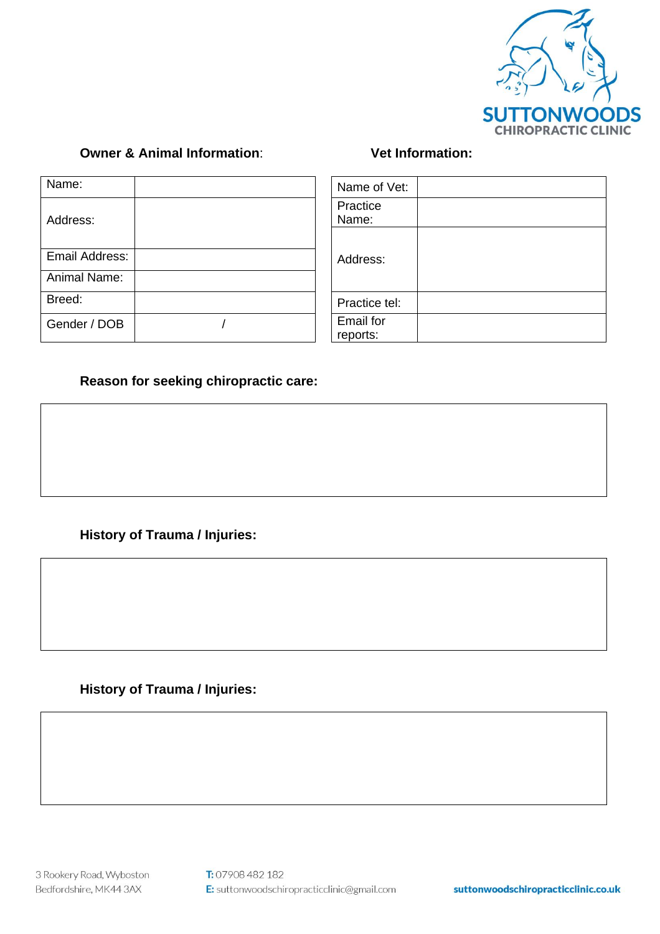

## **Owner & Animal Information**: **Vet Information:**

| Name:               | Name of Vet:                 |
|---------------------|------------------------------|
| Address:            | Practice<br>Name:            |
|                     |                              |
| Email Address:      | Address:                     |
| <b>Animal Name:</b> |                              |
| Breed:              | Practice tel:                |
| Gender / DOB        | <b>Email for</b><br>reports: |

| Name of Vet:          |  |
|-----------------------|--|
| Practice<br>Name:     |  |
| Address:              |  |
| Practice tel:         |  |
| Email for<br>reports: |  |
|                       |  |

## **Reason for seeking chiropractic care:**

# **History of Trauma / Injuries:**

## **History of Trauma / Injuries:**